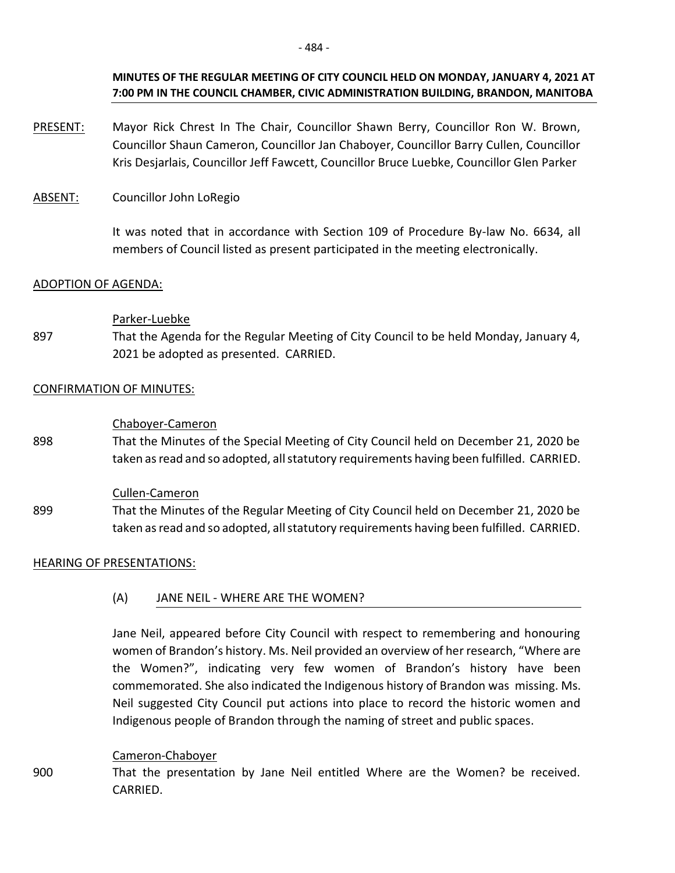- PRESENT: Mayor Rick Chrest In The Chair, Councillor Shawn Berry, Councillor Ron W. Brown, Councillor Shaun Cameron, Councillor Jan Chaboyer, Councillor Barry Cullen, Councillor Kris Desjarlais, Councillor Jeff Fawcett, Councillor Bruce Luebke, Councillor Glen Parker
- ABSENT: Councillor John LoRegio

It was noted that in accordance with Section 109 of Procedure By-law No. 6634, all members of Council listed as present participated in the meeting electronically.

## ADOPTION OF AGENDA:

## Parker-Luebke

897 That the Agenda for the Regular Meeting of City Council to be held Monday, January 4, 2021 be adopted as presented. CARRIED.

## CONFIRMATION OF MINUTES:

## Chaboyer-Cameron

898 That the Minutes of the Special Meeting of City Council held on December 21, 2020 be taken as read and so adopted, all statutory requirements having been fulfilled. CARRIED.

## Cullen-Cameron

899 That the Minutes of the Regular Meeting of City Council held on December 21, 2020 be taken as read and so adopted, all statutory requirements having been fulfilled. CARRIED.

## HEARING OF PRESENTATIONS:

## (A) JANE NEIL - WHERE ARE THE WOMEN?

Jane Neil, appeared before City Council with respect to remembering and honouring women of Brandon's history. Ms. Neil provided an overview of her research, "Where are the Women?", indicating very few women of Brandon's history have been commemorated. She also indicated the Indigenous history of Brandon was missing. Ms. Neil suggested City Council put actions into place to record the historic women and Indigenous people of Brandon through the naming of street and public spaces.

## Cameron-Chaboyer

900 That the presentation by Jane Neil entitled Where are the Women? be received. CARRIED.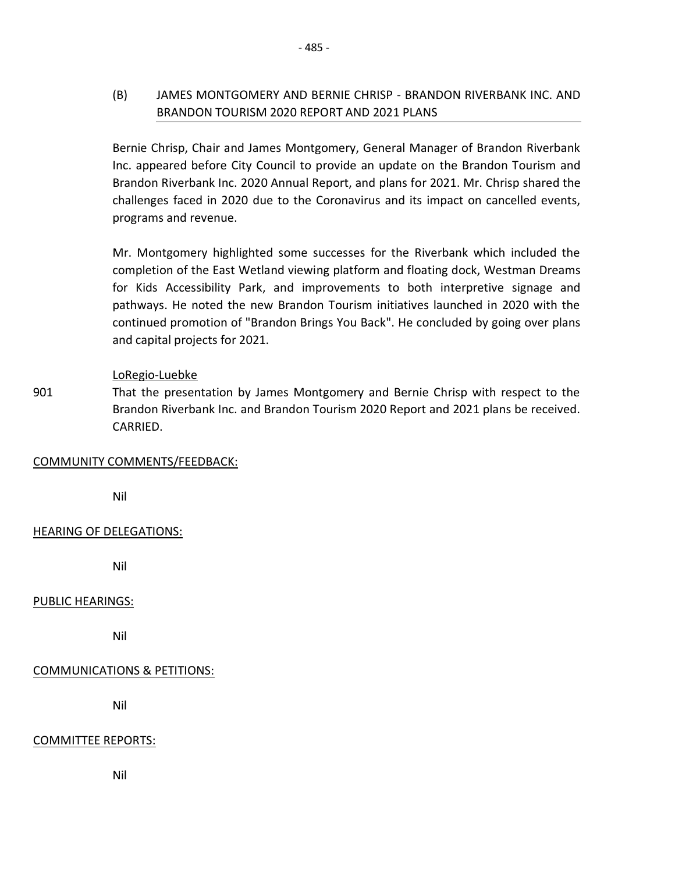# (B) JAMES MONTGOMERY AND BERNIE CHRISP - BRANDON RIVERBANK INC. AND BRANDON TOURISM 2020 REPORT AND 2021 PLANS

Bernie Chrisp, Chair and James Montgomery, General Manager of Brandon Riverbank Inc. appeared before City Council to provide an update on the Brandon Tourism and Brandon Riverbank Inc. 2020 Annual Report, and plans for 2021. Mr. Chrisp shared the challenges faced in 2020 due to the Coronavirus and its impact on cancelled events, programs and revenue.

Mr. Montgomery highlighted some successes for the Riverbank which included the completion of the East Wetland viewing platform and floating dock, Westman Dreams for Kids Accessibility Park, and improvements to both interpretive signage and pathways. He noted the new Brandon Tourism initiatives launched in 2020 with the continued promotion of "Brandon Brings You Back". He concluded by going over plans and capital projects for 2021.

## LoRegio-Luebke

901 That the presentation by James Montgomery and Bernie Chrisp with respect to the Brandon Riverbank Inc. and Brandon Tourism 2020 Report and 2021 plans be received. CARRIED.

## COMMUNITY COMMENTS/FEEDBACK:

Nil

# HEARING OF DELEGATIONS:

Nil

## PUBLIC HEARINGS:

Nil

# COMMUNICATIONS & PETITIONS:

Nil

## COMMITTEE REPORTS:

Nil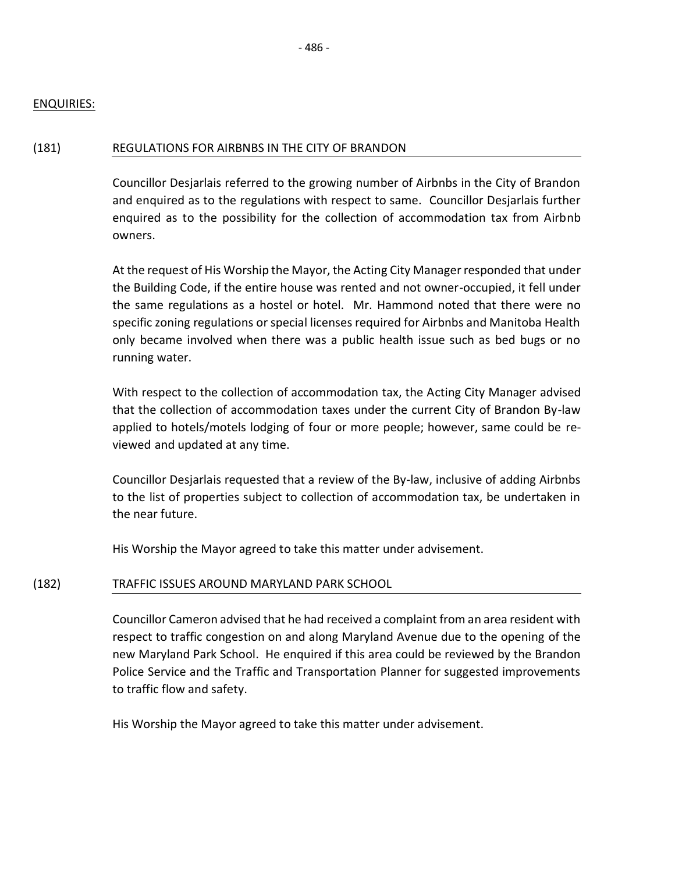#### ENQUIRIES:

#### (181) REGULATIONS FOR AIRBNBS IN THE CITY OF BRANDON

Councillor Desjarlais referred to the growing number of Airbnbs in the City of Brandon and enquired as to the regulations with respect to same. Councillor Desjarlais further enquired as to the possibility for the collection of accommodation tax from Airbnb owners.

At the request of His Worship the Mayor, the Acting City Manager responded that under the Building Code, if the entire house was rented and not owner-occupied, it fell under the same regulations as a hostel or hotel. Mr. Hammond noted that there were no specific zoning regulations or special licenses required for Airbnbs and Manitoba Health only became involved when there was a public health issue such as bed bugs or no running water.

With respect to the collection of accommodation tax, the Acting City Manager advised that the collection of accommodation taxes under the current City of Brandon By-law applied to hotels/motels lodging of four or more people; however, same could be reviewed and updated at any time.

Councillor Desjarlais requested that a review of the By-law, inclusive of adding Airbnbs to the list of properties subject to collection of accommodation tax, be undertaken in the near future.

His Worship the Mayor agreed to take this matter under advisement.

## (182) TRAFFIC ISSUES AROUND MARYLAND PARK SCHOOL

Councillor Cameron advised that he had received a complaint from an area resident with respect to traffic congestion on and along Maryland Avenue due to the opening of the new Maryland Park School. He enquired if this area could be reviewed by the Brandon Police Service and the Traffic and Transportation Planner for suggested improvements to traffic flow and safety.

His Worship the Mayor agreed to take this matter under advisement.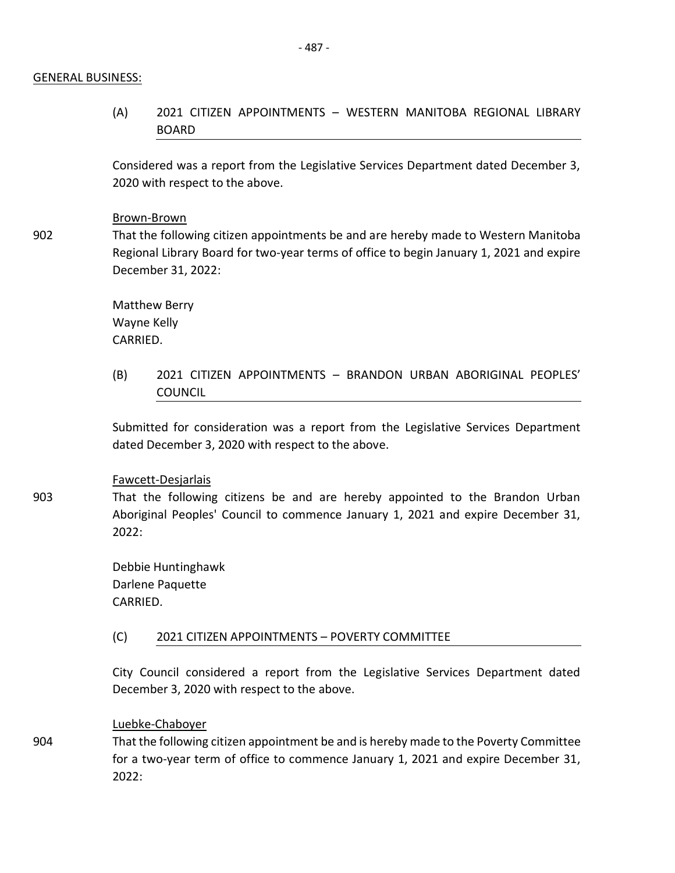#### GENERAL BUSINESS:

902

(A) 2021 CITIZEN APPOINTMENTS – WESTERN MANITOBA REGIONAL LIBRARY **BOARD** 

Considered was a report from the Legislative Services Department dated December 3, 2020 with respect to the above.

#### Brown-Brown

That the following citizen appointments be and are hereby made to Western Manitoba Regional Library Board for two-year terms of office to begin January 1, 2021 and expire December 31, 2022:

Matthew Berry Wayne Kelly CARRIED.

(B) 2021 CITIZEN APPOINTMENTS – BRANDON URBAN ABORIGINAL PEOPLES' COUNCIL

Submitted for consideration was a report from the Legislative Services Department dated December 3, 2020 with respect to the above.

#### Fawcett-Desjarlais

That the following citizens be and are hereby appointed to the Brandon Urban Aboriginal Peoples' Council to commence January 1, 2021 and expire December 31, 2022:

Debbie Huntinghawk Darlene Paquette CARRIED.

#### (C) 2021 CITIZEN APPOINTMENTS – POVERTY COMMITTEE

City Council considered a report from the Legislative Services Department dated December 3, 2020 with respect to the above.

Luebke-Chaboyer

That the following citizen appointment be and is hereby made to the Poverty Committee for a two-year term of office to commence January 1, 2021 and expire December 31, 2022:

904

903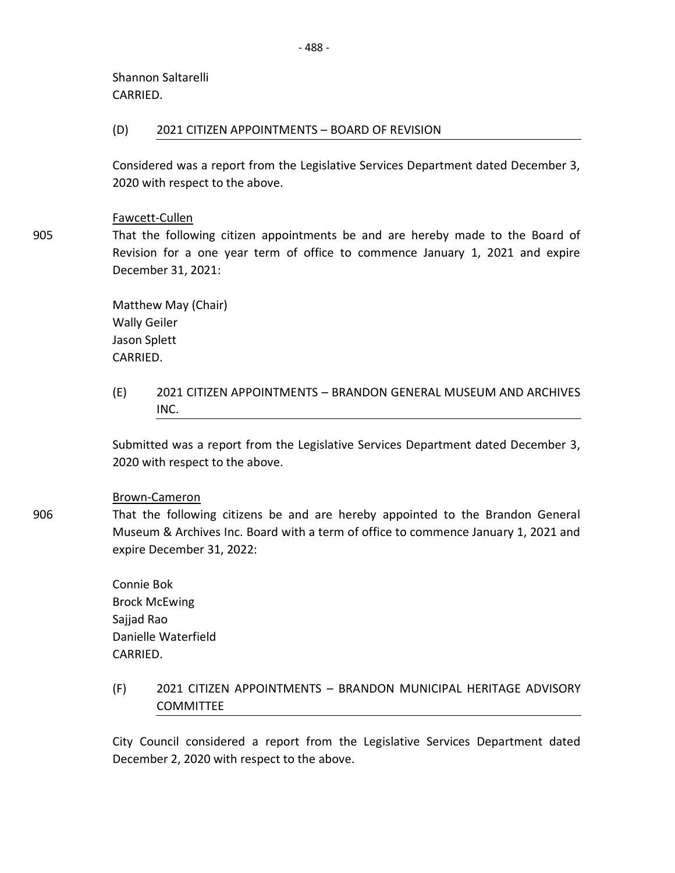Shannon Saltarelli CARRIED.

### (D) 2021 CITIZEN APPOINTMENTS – BOARD OF REVISION

Considered was a report from the Legislative Services Department dated December 3, 2020 with respect to the above.

## Fawcett-Cullen

905

906

That the following citizen appointments be and are hereby made to the Board of Revision for a one year term of office to commence January 1, 2021 and expire December 31, 2021:

Matthew May (Chair) Wally Geiler Jason Splett CARRIED.

(E) 2021 CITIZEN APPOINTMENTS – BRANDON GENERAL MUSEUM AND ARCHIVES INC.

Submitted was a report from the Legislative Services Department dated December 3, 2020 with respect to the above.

#### Brown-Cameron

That the following citizens be and are hereby appointed to the Brandon General Museum & Archives Inc. Board with a term of office to commence January 1, 2021 and expire December 31, 2022:

Connie Bok Brock McEwing Sajjad Rao Danielle Waterfield CARRIED.

# (F) 2021 CITIZEN APPOINTMENTS – BRANDON MUNICIPAL HERITAGE ADVISORY **COMMITTEE**

City Council considered a report from the Legislative Services Department dated December 2, 2020 with respect to the above.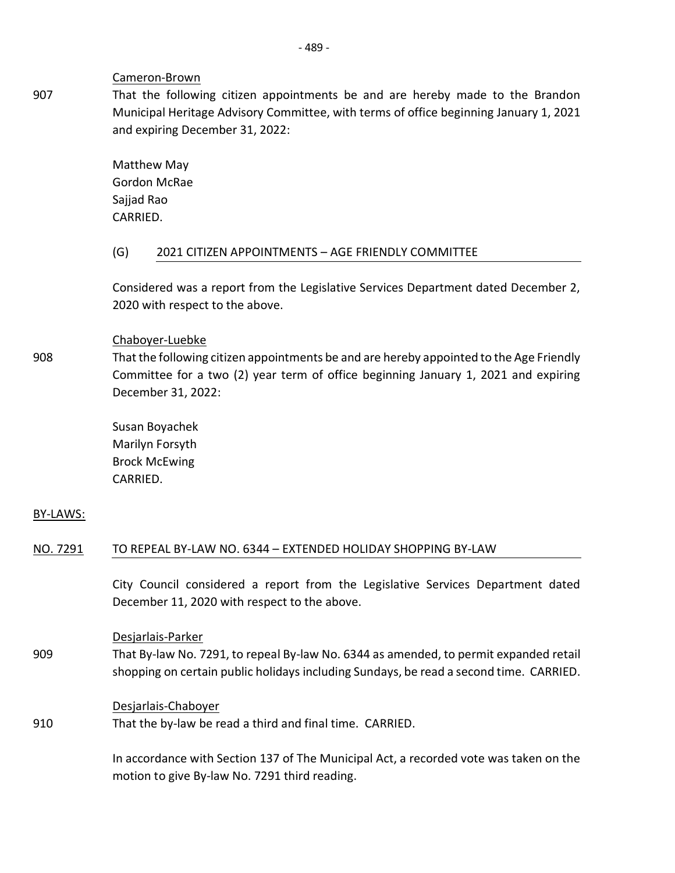#### Cameron-Brown

That the following citizen appointments be and are hereby made to the Brandon Municipal Heritage Advisory Committee, with terms of office beginning January 1, 2021 and expiring December 31, 2022:

Matthew May Gordon McRae Sajjad Rao CARRIED.

## (G) 2021 CITIZEN APPOINTMENTS – AGE FRIENDLY COMMITTEE

Considered was a report from the Legislative Services Department dated December 2, 2020 with respect to the above.

## Chaboyer-Luebke

That the following citizen appointments be and are hereby appointed to the Age Friendly Committee for a two (2) year term of office beginning January 1, 2021 and expiring December 31, 2022:

Susan Boyachek Marilyn Forsyth Brock McEwing CARRIED.

## BY-LAWS:

908

## NO. 7291 TO REPEAL BY-LAW NO. 6344 – EXTENDED HOLIDAY SHOPPING BY-LAW

City Council considered a report from the Legislative Services Department dated December 11, 2020 with respect to the above.

Desjarlais-Parker

909 That By-law No. 7291, to repeal By-law No. 6344 as amended, to permit expanded retail shopping on certain public holidays including Sundays, be read a second time. CARRIED.

## Desjarlais-Chaboyer

910 That the by-law be read a third and final time. CARRIED.

> In accordance with Section 137 of The Municipal Act, a recorded vote was taken on the motion to give By-law No. 7291 third reading.

907